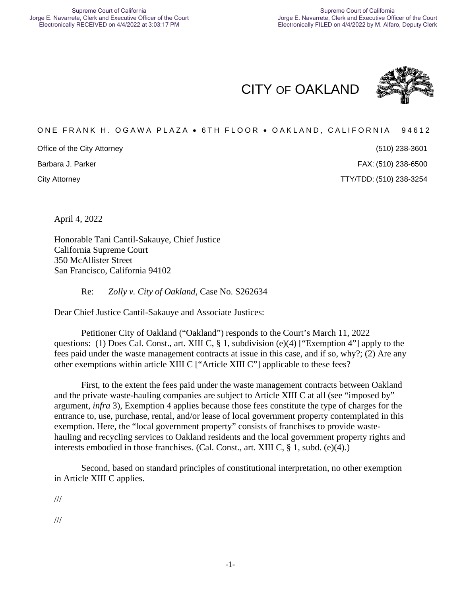CITY OF OAKLAND



#### ONE FRANK H. OGAWA PLAZA . 6TH FLOOR . OAKLAND, CALIFORNIA 94612

Office of the City Attorney

Barbara J. Parker

(510) 238-3601 (510) 238-6500

City Attorney TTY/TDD: (510) 238-3254

April 4, 2022

Honorable Tani Cantil-Sakauye, Chief Justice California Supreme Court 350 McAllister Street San Francisco, California 94102

Re: *Zolly v. City of Oakland*, Case No. S262634

Dear Chief Justice Cantil-Sakauye and Associate Justices:

Petitioner City of Oakland ("Oakland") responds to the Court's March 11, 2022 questions: (1) Does Cal. Const., art. XIII C, § 1, subdivision (e)(4) ["Exemption 4"] apply to the fees paid under the waste management contracts at issue in this case, and if so, why?; (2) Are any other exemptions within article XIII C ["Article XIII C"] applicable to these fees?

First, to the extent the fees paid under the waste management contracts between Oakland and the private waste-hauling companies are subject to Article XIII C at all (see "imposed by" argument, *infra* 3), Exemption 4 applies because those fees constitute the type of charges for the entrance to, use, purchase, rental, and/or lease of local government property contemplated in this exemption. Here, the "local government property" consists of franchises to provide wastehauling and recycling services to Oakland residents and the local government property rights and interests embodied in those franchises. (Cal. Const., art. XIII C, § 1, subd. (e)(4).)

Second, based on standard principles of constitutional interpretation, no other exemption in Article XIII C applies.

///

///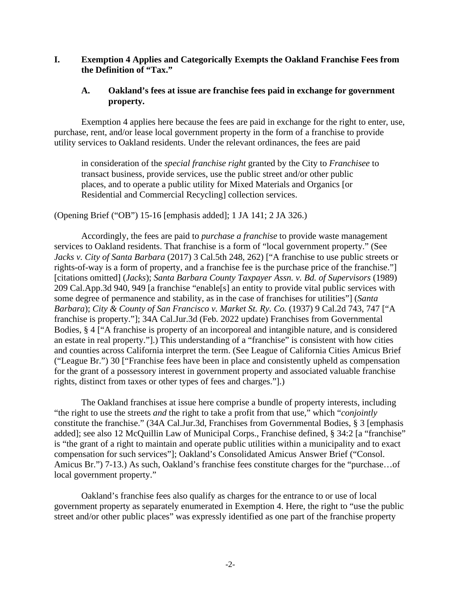#### **I. Exemption 4 Applies and Categorically Exempts the Oakland Franchise Fees from the Definition of "Tax."**

#### **A. Oakland's fees at issue are franchise fees paid in exchange for government property.**

Exemption 4 applies here because the fees are paid in exchange for the right to enter, use, purchase, rent, and/or lease local government property in the form of a franchise to provide utility services to Oakland residents. Under the relevant ordinances, the fees are paid

in consideration of the *special franchise right* granted by the City to *Franchisee* to transact business, provide services, use the public street and/or other public places, and to operate a public utility for Mixed Materials and Organics [or Residential and Commercial Recycling] collection services.

(Opening Brief ("OB") 15-16 [emphasis added]; 1 JA 141; 2 JA 326.)

Accordingly, the fees are paid to *purchase a franchise* to provide waste management services to Oakland residents. That franchise is a form of "local government property." (See *Jacks v. City of Santa Barbara* (2017) 3 Cal.5th 248, 262) ["A franchise to use public streets or rights-of-way is a form of property, and a franchise fee is the purchase price of the franchise."] [citations omitted] (*Jacks*); *Santa Barbara County Taxpayer Assn. v. Bd. of Supervisors* (1989) 209 Cal.App.3d 940, 949 [a franchise "enable[s] an entity to provide vital public services with some degree of permanence and stability, as in the case of franchises for utilities"] (*Santa Barbara*); *City & County of San Francisco v. Market St. Ry. Co.* (1937) 9 Cal.2d 743, 747 ["A franchise is property."]; 34A Cal.Jur.3d (Feb. 2022 update) Franchises from Governmental Bodies, § 4 ["A franchise is property of an incorporeal and intangible nature, and is considered an estate in real property."].) This understanding of a "franchise" is consistent with how cities and counties across California interpret the term. (See League of California Cities Amicus Brief ("League Br.") 30 ["Franchise fees have been in place and consistently upheld as compensation for the grant of a possessory interest in government property and associated valuable franchise rights, distinct from taxes or other types of fees and charges."].)

The Oakland franchises at issue here comprise a bundle of property interests, including "the right to use the streets *and* the right to take a profit from that use," which "*conjointly*  constitute the franchise." (34A Cal.Jur.3d, Franchises from Governmental Bodies, § 3 [emphasis added]; see also 12 McQuillin Law of Municipal Corps., Franchise defined, § 34:2 [a "franchise" is "the grant of a right to maintain and operate public utilities within a municipality and to exact compensation for such services"]; Oakland's Consolidated Amicus Answer Brief ("Consol. Amicus Br.") 7-13.) As such, Oakland's franchise fees constitute charges for the "purchase…of local government property."

Oakland's franchise fees also qualify as charges for the entrance to or use of local government property as separately enumerated in Exemption 4. Here, the right to "use the public street and/or other public places" was expressly identified as one part of the franchise property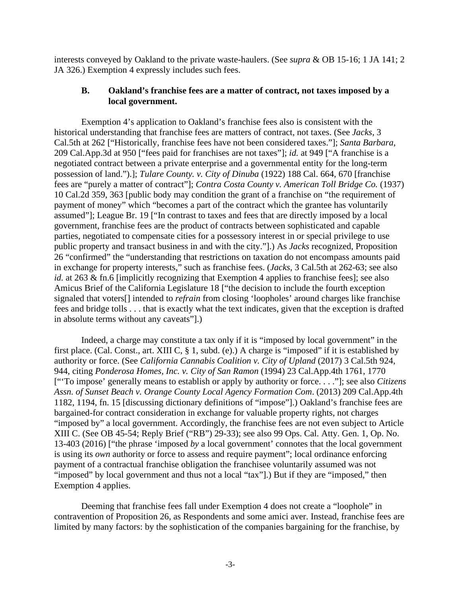interests conveyed by Oakland to the private waste-haulers. (See *supra* & OB 15-16; 1 JA 141; 2 JA 326.) Exemption 4 expressly includes such fees.

#### **B. Oakland's franchise fees are a matter of contract, not taxes imposed by a local government.**

Exemption 4's application to Oakland's franchise fees also is consistent with the historical understanding that franchise fees are matters of contract, not taxes. (See *Jacks*, 3 Cal.5th at 262 ["Historically, franchise fees have not been considered taxes."]; *Santa Barbara*, 209 Cal.App.3d at 950 ["fees paid for franchises are not taxes"]; *id.* at 949 ["A franchise is a negotiated contract between a private enterprise and a governmental entity for the long-term possession of land.").]; *Tulare County. v. City of Dinuba* (1922) 188 Cal. 664, 670 [franchise fees are "purely a matter of contract"]; *Contra Costa County v. American Toll Bridge Co.* (1937) 10 Cal.2d 359, 363 [public body may condition the grant of a franchise on "the requirement of payment of money" which "becomes a part of the contract which the grantee has voluntarily assumed"]; League Br. 19 ["In contrast to taxes and fees that are directly imposed by a local government, franchise fees are the product of contracts between sophisticated and capable parties, negotiated to compensate cities for a possessory interest in or special privilege to use public property and transact business in and with the city."].) As *Jacks* recognized, Proposition 26 "confirmed" the "understanding that restrictions on taxation do not encompass amounts paid in exchange for property interests," such as franchise fees. (*Jacks*, 3 Cal.5th at 262-63; see also *id.* at 263 & fn.6 [implicitly recognizing that Exemption 4 applies to franchise fees]; see also Amicus Brief of the California Legislature 18 ["the decision to include the fourth exception signaled that voters[] intended to *refrain* from closing 'loopholes' around charges like franchise fees and bridge tolls . . . that is exactly what the text indicates, given that the exception is drafted in absolute terms without any caveats"].)

Indeed, a charge may constitute a tax only if it is "imposed by local government" in the first place. (Cal. Const., art. XIII C, § 1, subd. (e).) A charge is "imposed" if it is established by authority or force. (See *California Cannabis Coalition v. City of Upland* (2017) 3 Cal.5th 924, 944, citing *Ponderosa Homes, Inc. v. City of San Ramon* (1994) 23 Cal.App.4th 1761, 1770 ["'To impose' generally means to establish or apply by authority or force. . . ."]; see also *Citizens Assn. of Sunset Beach v. Orange County Local Agency Formation Com*. (2013) 209 Cal.App.4th 1182, 1194, fn. 15 [discussing dictionary definitions of "impose"].) Oakland's franchise fees are bargained-for contract consideration in exchange for valuable property rights, not charges "imposed by" a local government. Accordingly, the franchise fees are not even subject to Article XIII C. (See OB 45-54; Reply Brief ("RB") 29-33); see also 99 Ops. Cal. Atty. Gen. 1, Op. No. 13-403 (2016) ["the phrase 'imposed *by* a local government' connotes that the local government is using its *own* authority or force to assess and require payment"; local ordinance enforcing payment of a contractual franchise obligation the franchisee voluntarily assumed was not "imposed" by local government and thus not a local "tax"].) But if they are "imposed," then Exemption 4 applies.

Deeming that franchise fees fall under Exemption 4 does not create a "loophole" in contravention of Proposition 26, as Respondents and some amici aver. Instead, franchise fees are limited by many factors: by the sophistication of the companies bargaining for the franchise, by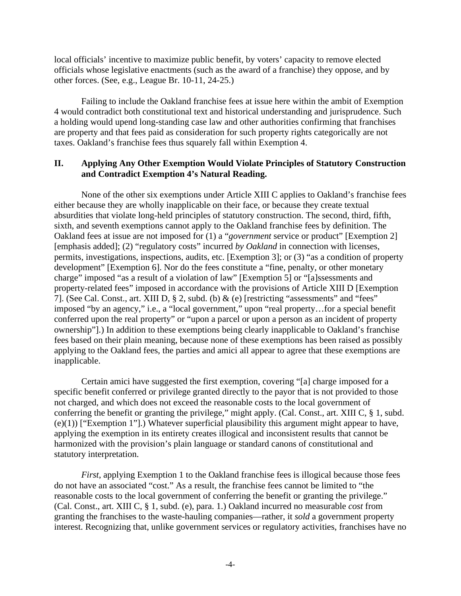local officials' incentive to maximize public benefit, by voters' capacity to remove elected officials whose legislative enactments (such as the award of a franchise) they oppose, and by other forces. (See, e.g., League Br. 10-11, 24-25.)

Failing to include the Oakland franchise fees at issue here within the ambit of Exemption 4 would contradict both constitutional text and historical understanding and jurisprudence. Such a holding would upend long-standing case law and other authorities confirming that franchises are property and that fees paid as consideration for such property rights categorically are not taxes. Oakland's franchise fees thus squarely fall within Exemption 4.

#### **II. Applying Any Other Exemption Would Violate Principles of Statutory Construction and Contradict Exemption 4's Natural Reading.**

None of the other six exemptions under Article XIII C applies to Oakland's franchise fees either because they are wholly inapplicable on their face, or because they create textual absurdities that violate long-held principles of statutory construction. The second, third, fifth, sixth, and seventh exemptions cannot apply to the Oakland franchise fees by definition. The Oakland fees at issue are not imposed for (1) a "*government* service or product" [Exemption 2] [emphasis added]; (2) "regulatory costs" incurred *by Oakland* in connection with licenses, permits, investigations, inspections, audits, etc. [Exemption 3]; or (3) "as a condition of property development" [Exemption 6]. Nor do the fees constitute a "fine, penalty, or other monetary charge" imposed "as a result of a violation of law" [Exemption 5] or "[a]ssessments and property-related fees" imposed in accordance with the provisions of Article XIII D [Exemption 7]. (See Cal. Const., art. XIII D, § 2, subd. (b) & (e) [restricting "assessments" and "fees" imposed "by an agency," i.e., a "local government," upon "real property…for a special benefit conferred upon the real property" or "upon a parcel or upon a person as an incident of property ownership"].) In addition to these exemptions being clearly inapplicable to Oakland's franchise fees based on their plain meaning, because none of these exemptions has been raised as possibly applying to the Oakland fees, the parties and amici all appear to agree that these exemptions are inapplicable.

Certain amici have suggested the first exemption, covering "[a] charge imposed for a specific benefit conferred or privilege granted directly to the payor that is not provided to those not charged, and which does not exceed the reasonable costs to the local government of conferring the benefit or granting the privilege," might apply. (Cal. Const., art. XIII C, § 1, subd. (e)(1)) ["Exemption 1"].) Whatever superficial plausibility this argument might appear to have, applying the exemption in its entirety creates illogical and inconsistent results that cannot be harmonized with the provision's plain language or standard canons of constitutional and statutory interpretation.

*First*, applying Exemption 1 to the Oakland franchise fees is illogical because those fees do not have an associated "cost." As a result, the franchise fees cannot be limited to "the reasonable costs to the local government of conferring the benefit or granting the privilege." (Cal. Const., art. XIII C, § 1, subd. (e), para. 1.) Oakland incurred no measurable *cost* from granting the franchises to the waste-hauling companies—rather, it *sold* a government property interest. Recognizing that, unlike government services or regulatory activities, franchises have no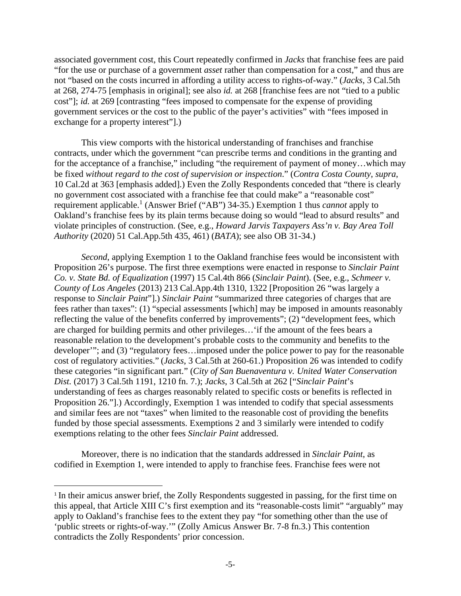associated government cost, this Court repeatedly confirmed in *Jacks* that franchise fees are paid "for the use or purchase of a government *asset* rather than compensation for a cost," and thus are not "based on the costs incurred in affording a utility access to rights-of-way." (*Jacks*, 3 Cal.5th at 268, 274-75 [emphasis in original]; see also *id.* at 268 [franchise fees are not "tied to a public cost"]; *id.* at 269 [contrasting "fees imposed to compensate for the expense of providing government services or the cost to the public of the payer's activities" with "fees imposed in exchange for a property interest"].)

This view comports with the historical understanding of franchises and franchise contracts, under which the government "can prescribe terms and conditions in the granting and for the acceptance of a franchise," including "the requirement of payment of money...which may be fixed *without regard to the cost of supervision or inspection*." (*Contra Costa County*, *supra*, 10 Cal.2d at 363 [emphasis added].) Even the Zolly Respondents conceded that "there is clearly no government cost associated with a franchise fee that could make" a "reasonable cost" requirement applicable.<sup>1</sup> (Answer Brief ("AB") 34-35.) Exemption 1 thus *cannot* apply to Oakland's franchise fees by its plain terms because doing so would "lead to absurd results" and violate principles of construction. (See, e.g., *Howard Jarvis Taxpayers Ass'n v. Bay Area Toll Authority* (2020) 51 Cal.App.5th 435, 461) (*BATA*); see also OB 31-34.)

*Second*, applying Exemption 1 to the Oakland franchise fees would be inconsistent with Proposition 26's purpose. The first three exemptions were enacted in response to *Sinclair Paint Co. v. State Bd. of Equalization* (1997) 15 Cal.4th 866 (*Sinclair Paint*). (See, e.g., *Schmeer v. County of Los Angeles* (2013) 213 Cal.App.4th 1310, 1322 [Proposition 26 "was largely a response to *Sinclair Paint*"].) *Sinclair Paint* "summarized three categories of charges that are fees rather than taxes": (1) "special assessments [which] may be imposed in amounts reasonably reflecting the value of the benefits conferred by improvements"; (2) "development fees, which are charged for building permits and other privileges…'if the amount of the fees bears a reasonable relation to the development's probable costs to the community and benefits to the developer'"; and (3) "regulatory fees…imposed under the police power to pay for the reasonable cost of regulatory activities." (*Jacks*, 3 Cal.5th at 260-61.) Proposition 26 was intended to codify these categories "in significant part." (*City of San Buenaventura v. United Water Conservation Dist.* (2017) 3 Cal.5th 1191, 1210 fn. 7.); *Jacks*, 3 Cal.5th at 262 ["*Sinclair Paint*'s understanding of fees as charges reasonably related to specific costs or benefits is reflected in Proposition 26."].) Accordingly, Exemption 1 was intended to codify that special assessments and similar fees are not "taxes" when limited to the reasonable cost of providing the benefits funded by those special assessments. Exemptions 2 and 3 similarly were intended to codify exemptions relating to the other fees *Sinclair Paint* addressed.

Moreover, there is no indication that the standards addressed in *Sinclair Paint*, as codified in Exemption 1, were intended to apply to franchise fees. Franchise fees were not

<sup>&</sup>lt;sup>1</sup> In their amicus answer brief, the Zolly Respondents suggested in passing, for the first time on this appeal, that Article XIII C's first exemption and its "reasonable-costs limit" "arguably" may apply to Oakland's franchise fees to the extent they pay "for something other than the use of 'public streets or rights-of-way.'" (Zolly Amicus Answer Br. 7-8 fn.3.) This contention contradicts the Zolly Respondents' prior concession.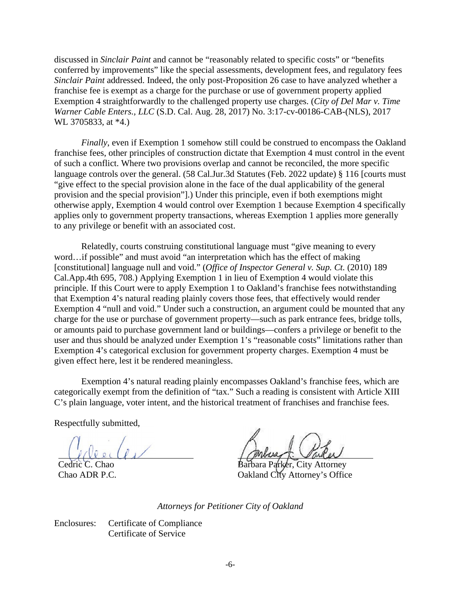discussed in *Sinclair Paint* and cannot be "reasonably related to specific costs" or "benefits conferred by improvements" like the special assessments, development fees, and regulatory fees *Sinclair Paint* addressed. Indeed, the only post-Proposition 26 case to have analyzed whether a franchise fee is exempt as a charge for the purchase or use of government property applied Exemption 4 straightforwardly to the challenged property use charges. (*City of Del Mar v. Time Warner Cable Enters., LLC* (S.D. Cal. Aug. 28, 2017) No. 3:17-cv-00186-CAB-(NLS), 2017 WL 3705833, at \*4.)

*Finally*, even if Exemption 1 somehow still could be construed to encompass the Oakland franchise fees, other principles of construction dictate that Exemption 4 must control in the event of such a conflict. Where two provisions overlap and cannot be reconciled, the more specific language controls over the general. (58 Cal.Jur.3d Statutes (Feb. 2022 update) § 116 [courts must] "give effect to the special provision alone in the face of the dual applicability of the general provision and the special provision"].) Under this principle, even if both exemptions might otherwise apply, Exemption 4 would control over Exemption 1 because Exemption 4 specifically applies only to government property transactions, whereas Exemption 1 applies more generally to any privilege or benefit with an associated cost.

Relatedly, courts construing constitutional language must "give meaning to every word…if possible" and must avoid "an interpretation which has the effect of making [constitutional] language null and void." (*Office of Inspector General v. Sup. Ct.* (2010) 189 Cal.App.4th 695, 708.) Applying Exemption 1 in lieu of Exemption 4 would violate this principle. If this Court were to apply Exemption 1 to Oakland's franchise fees notwithstanding that Exemption 4's natural reading plainly covers those fees, that effectively would render Exemption 4 "null and void." Under such a construction, an argument could be mounted that any charge for the use or purchase of government property—such as park entrance fees, bridge tolls, or amounts paid to purchase government land or buildings—confers a privilege or benefit to the user and thus should be analyzed under Exemption 1's "reasonable costs" limitations rather than Exemption 4's categorical exclusion for government property charges. Exemption 4 must be given effect here, lest it be rendered meaningless.

Exemption 4's natural reading plainly encompasses Oakland's franchise fees, which are categorically exempt from the definition of "tax." Such a reading is consistent with Article XIII C's plain language, voter intent, and the historical treatment of franchises and franchise fees.

Respectfully submitted,

 $U(1)$ 

Cedric C. Chao Chao ADR P.C.

Barbara Parker, City Attorney Oakland City Attorney's Office

*Attorneys for Petitioner City of Oakland* 

Enclosures: Certificate of Compliance Certificate of Service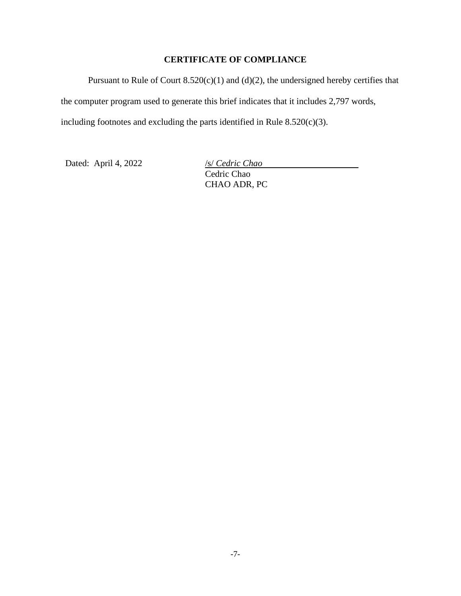## **CERTIFICATE OF COMPLIANCE**

Pursuant to Rule of Court  $8.520(c)(1)$  and  $(d)(2)$ , the undersigned hereby certifies that the computer program used to generate this brief indicates that it includes 2,797 words, including footnotes and excluding the parts identified in Rule  $8.520(c)(3)$ .

Dated: April 4, 2022 /s/ *Cedric Chao* 

Cedric Chao CHAO ADR, PC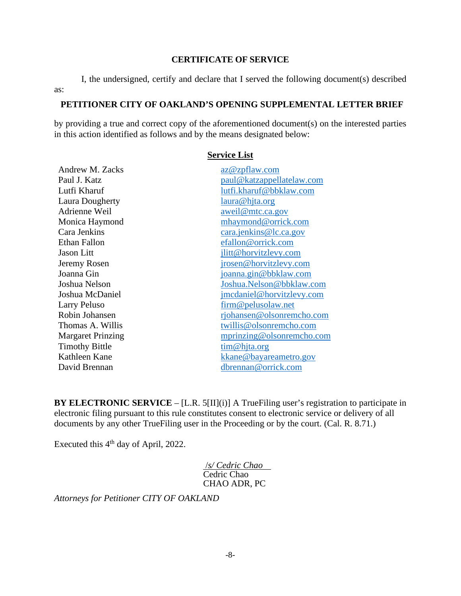#### **CERTIFICATE OF SERVICE**

I, the undersigned, certify and declare that I served the following document(s) described as:

#### **PETITIONER CITY OF OAKLAND'S OPENING SUPPLEMENTAL LETTER BRIEF**

by providing a true and correct copy of the aforementioned document(s) on the interested parties in this action identified as follows and by the means designated below:

**Service List** 

### Andrew M. Zacks az@zpflaw.com Paul J. Katz paul@katzappellatelaw.com Lutfi Kharuf lutfi.kharuf@bbklaw.com Laura Dougherty laura@hjta.org Adrienne Weil aweil@mtc.ca.gov Monica Haymond mhaymond @orrick.com Cara Jenkins cara.jenkins@lc.ca.gov Ethan Fallon efallon@orrick.com Jason Litt jlitt@horvitzlevy.com Jeremy Rosen irosen @horvitzlevy.com Joanna Gin joanna.gin@bbklaw.com Joshua Nelson Joshua.Nelson@bbklaw.com Joshua McDaniel jmcdaniel@horvitzlevy.com Larry Peluso firm @ pelusolaw.net Robin Johansen rjohansen @olsonremcho.com Thomas A. Willis twillis **Confidence** twillis **Confidence** twillis **Confidence** twillis **Confidence** to twillis **Confidence** to twillis **Confidence** to the twillis **Confidence** to the twillis **Confidence** to the twillis **C** Margaret Prinzing mprinzing mprinzing @olsonremcho.com Timothy Bittle tim@hjta.org Kathleen Kane David Brennan dbrennan @orrick.com

**BY ELECTRONIC SERVICE** – [L.R. 5[II](i)] A TrueFiling user's registration to participate in electronic filing pursuant to this rule constitutes consent to electronic service or delivery of all documents by any other TrueFiling user in the Proceeding or by the court. (Cal. R. 8.71.)

Executed this  $4<sup>th</sup>$  day of April, 2022.

 /*s/ Cedric Chao*  Cedric Chao CHAO ADR, PC

*Attorneys for Petitioner CITY OF OAKLAND*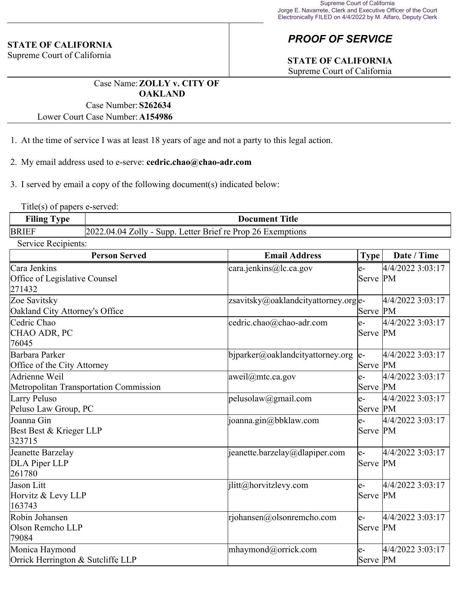#### **STATE OF CALIFORNIA**

Supreme Court of California

## *PROOF OF SERVICE*

# **STATE OF CALIFORNIA**

Supreme Court of California

Case Name:**ZOLLY v. CITY OF OAKLAND** Case Number:**S262634**

Lower Court Case Number:**A154986**

- 1. At the time of service I was at least 18 years of age and not a party to this legal action.
- 2. My email address used to e-serve: **cedric.chao@chao-adr.com**

3. I served by email a copy of the following document(s) indicated below:

Title(s) of papers e-served:

| <b>Filing</b>             | <b>Title</b>                                                  |
|---------------------------|---------------------------------------------------------------|
| $\mathbf{T}_{\mathbf{V}}$ | Document                                                      |
| <b>BRIEF</b>              | $[2022.04.04 Zol]$ - Supp. Letter Brief re Prop 26 Exemptions |

Service Recipients:

| <b>Person Served</b>                                    | <b>Email Address</b>                 | <b>Type</b>     | Date / Time      |
|---------------------------------------------------------|--------------------------------------|-----------------|------------------|
| Cara Jenkins<br>Office of Legislative Counsel<br>271432 | cara.jenkins@lc.ca.gov               | le-<br>Serve PM | 4/4/2022 3:03:17 |
| Zoe Savitsky<br>Oakland City Attorney's Office          | zsavitsky@oaklandcityattorney.org e- | Serve PM        | 4/4/2022 3:03:17 |
| Cedric Chao<br>CHAO ADR, PC<br>76045                    | cedric.chao@chao-adr.com             | le-<br>Serve PM | 4/4/2022 3:03:17 |
| Barbara Parker<br>Office of the City Attorney           | bjparker@oaklandcityattorney.org     | le-<br>Serve PM | 4/4/2022 3:03:17 |
| Adrienne Weil<br>Metropolitan Transportation Commission | aweil@mtc.ca.gov                     | le-<br>Serve PM | 4/4/2022 3:03:17 |
| Larry Peluso<br>Peluso Law Group, PC                    | pelusolaw@gmail.com                  | le-<br>Serve PM | 4/4/2022 3:03:17 |
| Joanna Gin<br>Best Best & Krieger LLP<br>323715         | joanna.gin@bbklaw.com                | le-<br>Serve PM | 4/4/2022 3:03:17 |
| Jeanette Barzelay<br>DLA Piper LLP<br>261780            | jeanette.barzelay@dlapiper.com       | le-<br>Serve PM | 4/4/2022 3:03:17 |
| Jason Litt<br>Horvitz & Levy LLP<br>163743              | jlitt@horvitzlevy.com                | le-<br>Serve PM | 4/4/2022 3:03:17 |
| Robin Johansen<br>Olson Remcho LLP<br>79084             | rjohansen@olsonremcho.com            | le-<br>Serve PM | 4/4/2022 3:03:17 |
| Monica Haymond<br>Orrick Herrington & Sutcliffe LLP     | mhaymond@orrick.com                  | le-<br>Serve PM | 4/4/2022 3:03:17 |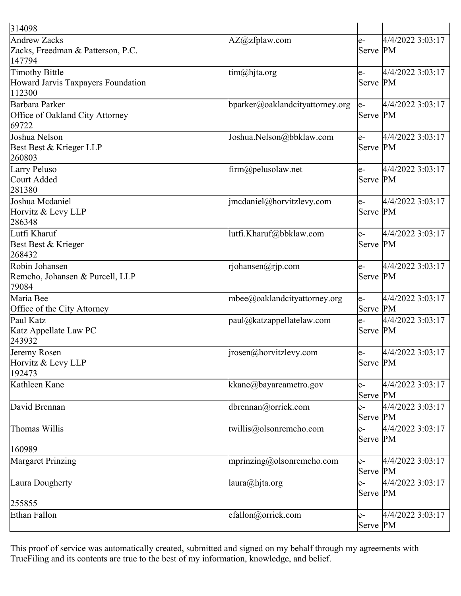| 314098                                                         |                                     |                  |                  |
|----------------------------------------------------------------|-------------------------------------|------------------|------------------|
| Andrew Zacks<br>Zacks, Freedman & Patterson, P.C.<br>147794    | AZ@zfplaw.com                       | $e-$<br>Serve PM | 4/4/2022 3:03:17 |
| Timothy Bittle<br>Howard Jarvis Taxpayers Foundation<br>112300 | $\lim(\omega)$ hjta.org             | le-<br>Serve PM  | 4/4/2022 3:03:17 |
| Barbara Parker<br>Office of Oakland City Attorney<br>69722     | bparker@oaklandcityattorney.org     | $e-$<br>Serve PM | 4/4/2022 3:03:17 |
| Joshua Nelson<br>Best Best & Krieger LLP<br>260803             | Joshua.Nelson@bbklaw.com            | $e-$<br>Serve PM | 4/4/2022 3:03:17 |
| Larry Peluso<br>Court Added<br>281380                          | firm@pelusolaw.net                  | e-<br>Serve PM   | 4/4/2022 3:03:17 |
| Joshua Mcdaniel<br>Horvitz & Levy LLP<br>286348                | imcdaniel@horvitzlevy.com           | le-<br>Serve PM  | 4/4/2022 3:03:17 |
| Lutfi Kharuf<br>Best Best & Krieger<br>268432                  | lutfi.Kharuf@bbklaw.com             | le-<br>Serve PM  | 4/4/2022 3:03:17 |
| Robin Johansen<br>Remcho, Johansen & Purcell, LLP<br>79084     | rjohansen@rjp.com                   | le-<br>Serve PM  | 4/4/2022 3:03:17 |
| Maria Bee<br>Office of the City Attorney                       | $m$ bee $@$ oaklandcityattorney.org | $e-$<br>Serve PM | 4/4/2022 3:03:17 |
| Paul Katz<br>Katz Appellate Law PC<br>243932                   | paul@katzappellatelaw.com           | $e-$<br>Serve PM | 4/4/2022 3:03:17 |
| Jeremy Rosen<br>Horvitz $&$ Levy LLP<br>192473                 | $ i$ jrosen@horvitzlevy.com         | le-<br>Serve PM  | 4/4/2022 3:03:17 |
| Kathleen Kane                                                  | kkane@bayareametro.gov              | e-<br>Serve PM   | 4/4/2022 3:03:17 |
| David Brennan                                                  | dbrennan@orrick.com                 | $e-$<br>Serve PM | 4/4/2022 3:03:17 |
| Thomas Willis<br>160989                                        | twillis@olsonremcho.com             | $e-$<br>Serve PM | 4/4/2022 3:03:17 |
| Margaret Prinzing                                              | mprinzing@olsonremcho.com           | e-<br>Serve PM   | 4/4/2022 3:03:17 |
| Laura Dougherty                                                | laura@hjta.org                      | e-<br>Serve PM   | 4/4/2022 3:03:17 |
| 255855                                                         |                                     |                  |                  |
| Ethan Fallon                                                   | efallon@orrick.com                  | le-<br>Serve PM  | 4/4/2022 3:03:17 |

This proof of service was automatically created, submitted and signed on my behalf through my agreements with TrueFiling and its contents are true to the best of my information, knowledge, and belief.